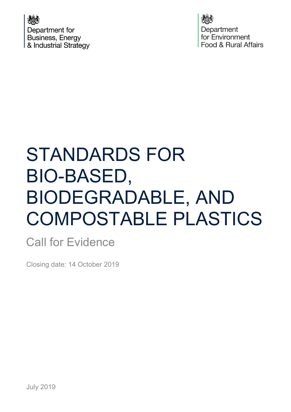Department for **Business, Energy** & Industrial Strategy

Department for Environment Food & Rural Affairs

# STANDARDS FOR BIO-BASED, BIODEGRADABLE, AND COMPOSTABLE PLASTICS

### Call for Evidence

Closing date: 14 October 2019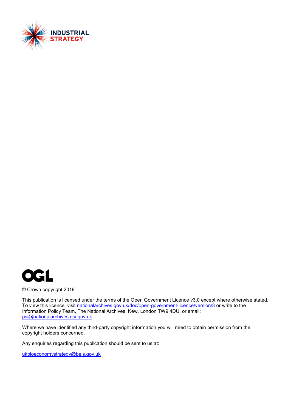



© Crown copyright 2019

This publication is licensed under the terms of the Open Government Licence v3.0 except where otherwise stated. To view this licence, visit [nationalarchives.gov.uk/doc/open-government-licence/version/3](http://nationalarchives.gov.uk/doc/open-government-licence/version/3/) or write to the Information Policy Team, The National Archives, Kew, London TW9 4DU, or email: [psi@nationalarchives.gsi.gov.uk.](mailto:psi@nationalarchives.gsi.gov.uk)

Where we have identified any third-party copyright information you will need to obtain permission from the copyright holders concerned.

Any enquiries regarding this publication should be sent to us at:

[ukbioeconomystrategy@beis.gov.uk](mailto:ukbioeconomystrategy@beis.gov.uk)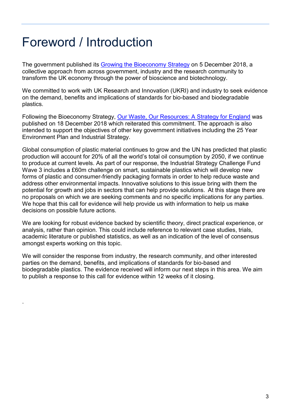## <span id="page-2-0"></span>Foreword / Introduction

.

The government published its [Growing the Bioeconomy Strategy](https://assets.publishing.service.gov.uk/government/uploads/system/uploads/attachment_data/file/761856/181205_BEIS_Growing_the_Bioeconomy__Web_SP_.pdf) on 5 December 2018, a collective approach from across government, industry and the research community to transform the UK economy through the power of bioscience and biotechnology.

We committed to work with UK Research and Innovation (UKRI) and industry to seek evidence on the demand, benefits and implications of standards for bio-based and biodegradable plastics.

Following the Bioeconomy Strategy, [Our Waste, Our Resources: A Strategy for England](https://assets.publishing.service.gov.uk/government/uploads/system/uploads/attachment_data/file/765914/resources-waste-strategy-dec-2018.pdf) was published on 18 December 2018 which reiterated this commitment. The approach is also intended to support the objectives of other key government initiatives including the 25 Year Environment Plan and Industrial Strategy.

Global consumption of plastic material continues to grow and the UN has predicted that plastic production will account for 20% of all the world's total oil consumption by 2050, if we continue to produce at current levels. As part of our response, the Industrial Strategy Challenge Fund Wave 3 includes a £60m challenge on smart, sustainable plastics which will develop new forms of plastic and consumer-friendly packaging formats in order to help reduce waste and address other environmental impacts. Innovative solutions to this issue bring with them the potential for growth and jobs in sectors that can help provide solutions. At this stage there are no proposals on which we are seeking comments and no specific implications for any parties. We hope that this call for evidence will help provide us with information to help us make decisions on possible future actions.

We are looking for robust evidence backed by scientific theory, direct practical experience, or analysis, rather than opinion. This could include reference to relevant case studies, trials, academic literature or published statistics, as well as an indication of the level of consensus amongst experts working on this topic.

We will consider the response from industry, the research community, and other interested parties on the demand, benefits, and implications of standards for bio-based and biodegradable plastics. The evidence received will inform our next steps in this area. We aim to publish a response to this call for evidence within 12 weeks of it closing.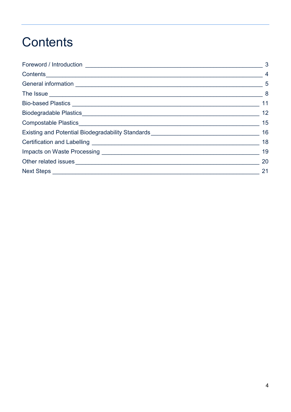## <span id="page-3-0"></span>Contents

|                                                                                                                                                                                                                                      | 3              |
|--------------------------------------------------------------------------------------------------------------------------------------------------------------------------------------------------------------------------------------|----------------|
|                                                                                                                                                                                                                                      | $\overline{4}$ |
|                                                                                                                                                                                                                                      | $\sim$ 5       |
|                                                                                                                                                                                                                                      |                |
|                                                                                                                                                                                                                                      | 11             |
|                                                                                                                                                                                                                                      | 12             |
|                                                                                                                                                                                                                                      | 15             |
| Existing and Potential Biodegradability Standards [1982] [2012] [2013] [2013] [2014] [2014] [2014] [2014] [2015] [                                                                                                                   | 16             |
|                                                                                                                                                                                                                                      | 18             |
| Impacts on Waste Processing <b>Commission Control of the United States and Control Control Control of the United States and Control Of the United States and Control Of the United States and Control Of the United States and C</b> | 19             |
|                                                                                                                                                                                                                                      | 20             |
|                                                                                                                                                                                                                                      | 21             |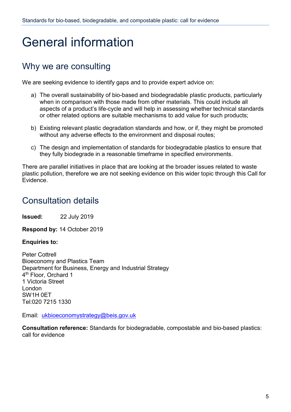## <span id="page-4-0"></span>General information

### Why we are consulting

We are seeking evidence to identify gaps and to provide expert advice on:

- a) The overall sustainability of bio-based and biodegradable plastic products, particularly when in comparison with those made from other materials. This could include all aspects of a product's life-cycle and will help in assessing whether technical standards or other related options are suitable mechanisms to add value for such products;
- b) Existing relevant plastic degradation standards and how, or if, they might be promoted without any adverse effects to the environment and disposal routes;
- c) The design and implementation of standards for biodegradable plastics to ensure that they fully biodegrade in a reasonable timeframe in specified environments.

There are parallel initiatives in place that are looking at the broader issues related to waste plastic pollution, therefore we are not seeking evidence on this wider topic through this Call for Evidence.

### Consultation details

**Issued:** 22 July 2019

**Respond by:** 14 October 2019

#### **Enquiries to:**

Peter Cottrell Bioeconomy and Plastics Team Department for Business, Energy and Industrial Strategy 4th Floor, Orchard 1 1 Victoria Street London SW1H 0ET Tel:020 7215 1330

Email: [ukbioeconomystrategy@beis.gov.uk](mailto:ukbioeconomystrategy@beis.gov.uk)

**Consultation reference:** Standards for biodegradable, compostable and bio-based plastics: call for evidence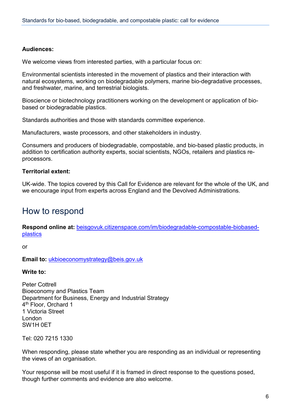#### **Audiences:**

We welcome views from interested parties, with a particular focus on:

Environmental scientists interested in the movement of plastics and their interaction with natural ecosystems, working on biodegradable polymers, marine bio-degradative processes, and freshwater, marine, and terrestrial biologists.

Bioscience or biotechnology practitioners working on the development or application of biobased or biodegradable plastics.

Standards authorities and those with standards committee experience.

Manufacturers, waste processors, and other stakeholders in industry.

Consumers and producers of biodegradable, compostable, and bio-based plastic products, in addition to certification authority experts, social scientists, NGOs, retailers and plastics reprocessors.

#### **Territorial extent:**

UK-wide. The topics covered by this Call for Evidence are relevant for the whole of the UK, and we encourage input from experts across England and the Devolved Administrations.

#### How to respond

**Respond online at:** [beisgovuk.citizenspace.com/im/biodegradable-compostable-biobased](https://beisgovuk.citizenspace.com/im/biodegradable-compostable-biobased-plastics)[plastics](https://beisgovuk.citizenspace.com/im/biodegradable-compostable-biobased-plastics)

or

**Email to:** [ukbioeconomystrategy@beis.gov.uk](mailto:ukbioeconomystrategy@beis.gov.uk)

**Write to:**

Peter Cottrell Bioeconomy and Plastics Team Department for Business, Energy and Industrial Strategy 4th Floor, Orchard 1 1 Victoria Street London SW1H 0ET

Tel: 020 7215 1330

When responding, please state whether you are responding as an individual or representing the views of an organisation.

Your response will be most useful if it is framed in direct response to the questions posed, though further comments and evidence are also welcome.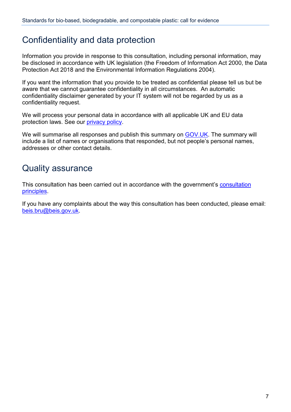#### Confidentiality and data protection

Information you provide in response to this consultation, including personal information, may be disclosed in accordance with UK legislation (the Freedom of Information Act 2000, the Data Protection Act 2018 and the Environmental Information Regulations 2004).

If you want the information that you provide to be treated as confidential please tell us but be aware that we cannot guarantee confidentiality in all circumstances. An automatic confidentiality disclaimer generated by your IT system will not be regarded by us as a confidentiality request.

We will process your personal data in accordance with all applicable UK and EU data protection laws. See our [privacy policy.](https://www.gov.uk/government/organisations/department-for-business-energy-and-industrial-strategy/about/personal-information-charter)

We will summarise all responses and publish this summary on [GOV.UK.](https://www.gov.uk/government/publications?keywords=&publication_filter_option=closed-consultations&topics%5B%5D=all&departments%5B%5D=department-for-business-energy-and-industrial-strategy&official_document_status=all&world_locations%5B%5D=all&from_date=&to_date=) The summary will include a list of names or organisations that responded, but not people's personal names, addresses or other contact details.

#### Quality assurance

This consultation has been carried out in accordance with the government's [consultation](https://www.gov.uk/government/publications/consultation-principles-guidance)  [principles.](https://www.gov.uk/government/publications/consultation-principles-guidance)

If you have any complaints about the way this consultation has been conducted, please email: [beis.bru@beis.gov.uk.](mailto:beis.bru@beis.gov.uk)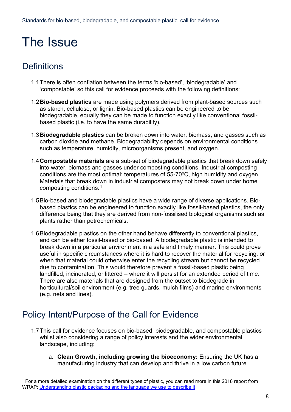## <span id="page-7-0"></span>The Issue

### **Definitions**

- 1.1There is often conflation between the terms 'bio-based', 'biodegradable' and 'compostable' so this call for evidence proceeds with the following definitions:
- 1.2**Bio-based plastics** are made using polymers derived from plant-based sources such as starch, cellulose, or lignin. Bio-based plastics can be engineered to be biodegradable, equally they can be made to function exactly like conventional fossilbased plastic (i.e. to have the same durability).
- 1.3**Biodegradable plastics** can be broken down into water, biomass, and gasses such as carbon dioxide and methane. Biodegradability depends on environmental conditions such as temperature, humidity, microorganisms present, and oxygen.
- 1.4**Compostable materials** are a sub-set of biodegradable plastics that break down safely into water, biomass and gasses under composting conditions. Industrial composting conditions are the most optimal: temperatures of  $55-70^{\circ}$ C, high humidity and oxygen. Materials that break down in industrial composters may not break down under home composting conditions.[1](#page-7-1)
- 1.5Bio-based and biodegradable plastics have a wide range of diverse applications. Biobased plastics can be engineered to function exactly like fossil-based plastics, the only difference being that they are derived from non-fossilised biological organisms such as plants rather than petrochemicals.
- 1.6Biodegradable plastics on the other hand behave differently to conventional plastics, and can be either fossil-based or bio-based. A biodegradable plastic is intended to break down in a particular environment in a safe and timely manner. This could prove useful in specific circumstances where it is hard to recover the material for recycling, or when that material could otherwise enter the recycling stream but cannot be recycled due to contamination. This would therefore prevent a fossil-based plastic being landfilled, incinerated, or littered – where it will persist for an extended period of time. There are also materials that are designed from the outset to biodegrade in horticultural/soil environment (e.g. tree guards, mulch films) and marine environments (e.g. nets and lines).

### Policy Intent/Purpose of the Call for Evidence

- 1.7This call for evidence focuses on bio-based, biodegradable, and compostable plastics whilst also considering a range of policy interests and the wider environmental landscape, including:
	- a. **Clean Growth, including growing the bioeconomy:** Ensuring the UK has a manufacturing industry that can develop and thrive in a low carbon future

<span id="page-7-1"></span> <sup>1</sup> For a more detailed examination on the different types of plastic, you can read more in this 2018 report from WRAP: Understanding plastic packaging [and the language we use to describe it](http://www.wrap.org.uk/sites/files/wrap/Understanding%20plastic%20packaging%20FINAL.pdf)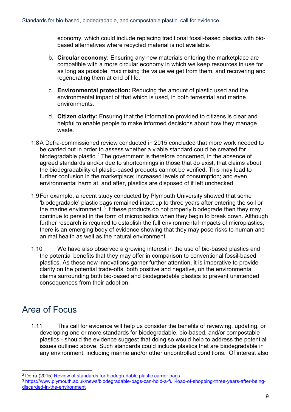economy, which could include replacing traditional fossil-based plastics with biobased alternatives where recycled material is not available.

- b. **Circular economy:** Ensuring any new materials entering the marketplace are compatible with a more circular economy in which we keep resources in use for as long as possible, maximising the value we get from them, and recovering and regenerating them at end of life.
- c. **Environmental protection:** Reducing the amount of plastic used and the environmental impact of that which is used, in both terrestrial and marine environments.
- d. **Citizen clarity:** Ensuring that the information provided to citizens is clear and helpful to enable people to make informed decisions about how they manage waste.
- 1.8A Defra-commissioned review conducted in 2015 concluded that more work needed to be carried out in order to assess whether a viable standard could be created for biodegradable plastic.<sup>[2](#page-8-0)</sup> The government is therefore concerned, in the absence of agreed standards and/or due to shortcomings in those that do exist, that claims about the biodegradability of plastic-based products cannot be verified. This may lead to further confusion in the marketplace; increased levels of consumption; and even environmental harm at, and after, plastics are disposed of if left unchecked.
- 1.9For example, a recent study conducted by Plymouth University showed that some 'biodegradable' plastic bags remained intact up to three years after entering the soil or the marine environment.<sup>[3](#page-8-1)</sup> If these products do not properly biodegrade then they may continue to persist in the form of microplastics when they begin to break down. Although further research is required to establish the full environmental impacts of microplastics, there is an emerging body of evidence showing that they may pose risks to human and animal health as well as the natural environment.
- 1.10 We have also observed a growing interest in the use of bio-based plastics and the potential benefits that they may offer in comparison to conventional fossil-based plastics. As these new innovations garner further attention, it is imperative to provide clarity on the potential trade-offs, both positive and negative, on the environmental claims surrounding both bio-based and biodegradable plastics to prevent unintended consequences from their adoption.

#### Area of Focus

1.11 This call for evidence will help us consider the benefits of reviewing, updating, or developing one or more standards for biodegradable, bio-based, and/or compostable plastics - should the evidence suggest that doing so would help to address the potential issues outlined above. Such standards could include plastics that are biodegradable in any environment, including marine and/or other uncontrolled conditions. Of interest also

<span id="page-8-0"></span><sup>&</sup>lt;sup>2</sup> Defra (2015) [Review of standards for biodegradable plastic carrier bags](https://assets.publishing.service.gov.uk/government/uploads/system/uploads/attachment_data/file/485904/carrier-bag-biodegradable-report-2015.pdf)

<span id="page-8-1"></span><sup>3</sup> [https://www.plymouth.ac.uk/news/biodegradable-bags-can-hold-a-full-load-of-shopping-three-years-after-being](https://www.plymouth.ac.uk/news/biodegradable-bags-can-hold-a-full-load-of-shopping-three-years-after-being-discarded-in-the-environment)[discarded-in-the-environment](https://www.plymouth.ac.uk/news/biodegradable-bags-can-hold-a-full-load-of-shopping-three-years-after-being-discarded-in-the-environment)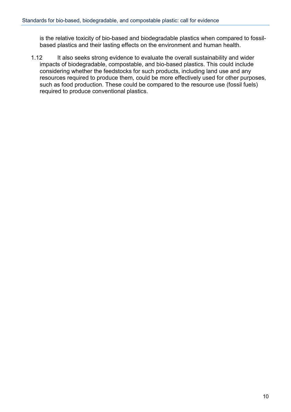is the relative toxicity of bio-based and biodegradable plastics when compared to fossilbased plastics and their lasting effects on the environment and human health.

1.12 It also seeks strong evidence to evaluate the overall sustainability and wider impacts of biodegradable, compostable, and bio-based plastics. This could include considering whether the feedstocks for such products, including land use and any resources required to produce them, could be more effectively used for other purposes, such as food production. These could be compared to the resource use (fossil fuels) required to produce conventional plastics.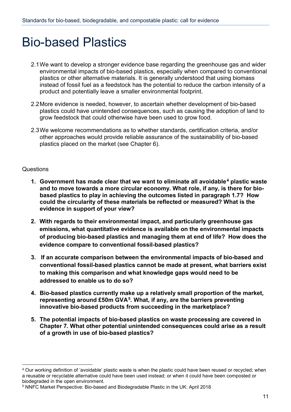## <span id="page-10-0"></span>Bio-based Plastics

- 2.1We want to develop a stronger evidence base regarding the greenhouse gas and wider environmental impacts of bio-based plastics, especially when compared to conventional plastics or other alternative materials. It is generally understood that using biomass instead of fossil fuel as a feedstock has the potential to reduce the carbon intensity of a product and potentially leave a smaller environmental footprint.
- 2.2More evidence is needed, however, to ascertain whether development of bio-based plastics could have unintended consequences, such as causing the adoption of land to grow feedstock that could otherwise have been used to grow food.
- 2.3We welcome recommendations as to whether standards, certification criteria, and/or other approaches would provide reliable assurance of the sustainability of bio-based plastics placed on the market (see Chapter 6).

- **1. Government has made clear that we want to eliminate all avoidable[4](#page-10-1) plastic waste and to move towards a more circular economy. What role, if any, is there for biobased plastics to play in achieving the outcomes listed in paragraph 1.7? How could the circularity of these materials be reflected or measured? What is the evidence in support of your view?**
- **2. With regards to their environmental impact, and particularly greenhouse gas emissions, what quantitative evidence is available on the environmental impacts of producing bio-based plastics and managing them at end of life? How does the evidence compare to conventional fossil-based plastics?**
- **3. If an accurate comparison between the environmental impacts of bio-based and conventional fossil-based plastics cannot be made at present, what barriers exist to making this comparison and what knowledge gaps would need to be addressed to enable us to do so?**
- **4. Bio-based plastics currently make up a relatively small proportion of the market, representing around £50m GVA[5.](#page-10-2) What, if any, are the barriers preventing innovative bio-based products from succeeding in the marketplace?**
- **5. The potential impacts of bio-based plastics on waste processing are covered in Chapter 7. What other potential unintended consequences could arise as a result of a growth in use of bio-based plastics?**

<span id="page-10-1"></span> <sup>4</sup> Our working definition of 'avoidable' plastic waste is when the plastic could have been reused or recycled; when a reusable or recyclable alternative could have been used instead; or when it could have been composted or biodegraded in the open environment.

<span id="page-10-2"></span><sup>5</sup> NNFC Market Perspective: Bio-based and Biodegradable Plastic in the UK: April 2018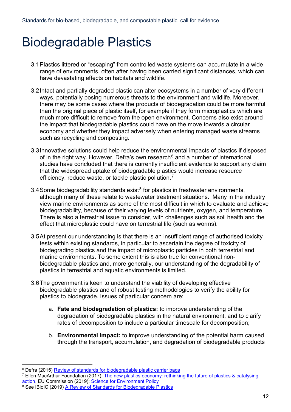## <span id="page-11-0"></span>Biodegradable Plastics

- 3.1Plastics littered or "escaping" from controlled waste systems can accumulate in a wide range of environments, often after having been carried significant distances, which can have devastating effects on habitats and wildlife.
- 3.2Intact and partially degraded plastic can alter ecosystems in a number of very different ways, potentially posing numerous threats to the environment and wildlife. Moreover, there may be some cases where the products of biodegradation could be more harmful than the original piece of plastic itself, for example if they form microplastics which are much more difficult to remove from the open environment. Concerns also exist around the impact that biodegradable plastics could have on the move towards a circular economy and whether they impact adversely when entering managed waste streams such as recycling and composting.
- 3.3Innovative solutions could help reduce the environmental impacts of plastics if disposed of in the right way. However, Defra's own research<sup>[6](#page-11-1)</sup> and a number of international studies have concluded that there is currently insufficient evidence to support any claim that the widespread uptake of biodegradable plastics would increase resource efficiency, reduce waste, or tackle plastic pollution.<sup>[7](#page-11-2)</sup>
- 3.4 Some biodegradability standards exist<sup>[8](#page-11-3)</sup> for plastics in freshwater environments, although many of these relate to wastewater treatment situations. Many in the industry view marine environments as some of the most difficult in which to evaluate and achieve biodegradability, because of their varying levels of nutrients, oxygen, and temperature. There is also a terrestrial issue to consider, with challenges such as soil health and the effect that microplastic could have on terrestrial life (such as worms).
- 3.5At present our understanding is that there is an insufficient range of authorised toxicity tests within existing standards, in particular to ascertain the degree of toxicity of biodegrading plastics and the impact of microplastic particles in both terrestrial and marine environments. To some extent this is also true for conventional nonbiodegradable plastics and, more generally, our understanding of the degradability of plastics in terrestrial and aquatic environments is limited.
- 3.6The government is keen to understand the viability of developing effective biodegradable plastics and of robust testing methodologies to verify the ability for plastics to biodegrade. Issues of particular concern are:
	- a. **Fate and biodegradation of plastics:** to improve understanding of the degradation of biodegradable plastics in the natural environment, and to clarify rates of decomposition to include a particular timescale for decomposition;
	- b. **Environmental impact:** to improve understanding of the potential harm caused through the transport, accumulation, and degradation of biodegradable products

<span id="page-11-1"></span><sup>&</sup>lt;sup>6</sup> Defra (2015) [Review of standards for biodegradable plastic carrier bags](https://assets.publishing.service.gov.uk/government/uploads/system/uploads/attachment_data/file/485904/carrier-bag-biodegradable-report-2015.pdf)

<span id="page-11-2"></span><sup>&</sup>lt;sup>7</sup> Ellen MacArthur Foundation (2017), The new plastics economy: rethinking the future of plastics & catalysing [action,](https://www.ellenmacarthurfoundation.org/publications/the-new-plastics-economy-rethinking-the-future-of-plastics-catalysing-action) EU Commission (2019): [Science for Environment Policy](http://ec.europa.eu/environment/integration/research/newsalert/pdf/biodegradable_plastics_appropriate_end_of_life_options_environmental_concerns_526na3_en.pdf)

<span id="page-11-3"></span><sup>8</sup> See iBioIC (2019) [A Review of Standards for Biodegradable Plastics](https://www.gov.uk/government/consultations/standards-for-biodegradable-compostable-and-bio-based-plastics-call-for-evidence)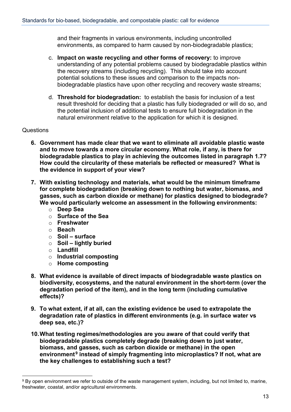and their fragments in various environments, including uncontrolled environments, as compared to harm caused by non-biodegradable plastics;

- c. **Impact on waste recycling and other forms of recovery:** to improve understanding of any potential problems caused by biodegradable plastics within the recovery streams (including recycling). This should take into account potential solutions to these issues and comparison to the impacts nonbiodegradable plastics have upon other recycling and recovery waste streams;
- d. **Threshold for biodegradation:** to establish the basis for inclusion of a test result threshold for deciding that a plastic has fully biodegraded or will do so, and the potential inclusion of additional tests to ensure full biodegradation in the natural environment relative to the application for which it is designed.

- **6. Government has made clear that we want to eliminate all avoidable plastic waste and to move towards a more circular economy. What role, if any, is there for biodegradable plastics to play in achieving the outcomes listed in paragraph 1.7? How could the circularity of these materials be reflected or measured? What is the evidence in support of your view?**
- **7. With existing technology and materials, what would be the minimum timeframe for complete biodegradation (breaking down to nothing but water, biomass, and gasses, such as carbon dioxide or methane) for plastics designed to biodegrade? We would particularly welcome an assessment in the following environments:**
	- o **Deep Sea**
	- o **Surface of the Sea**
	- o **Freshwater**
	- o **Beach**
	- o **Soil – surface**
	- o **Soil – lightly buried**
	- o **Landfill**
	- o **Industrial composting**
	- o **Home composting**
- **8. What evidence is available of direct impacts of biodegradable waste plastics on biodiversity, ecosystems, and the natural environment in the short-term (over the degradation period of the item), and in the long term (including cumulative effects)?**
- **9. To what extent, if at all, can the existing evidence be used to extrapolate the degradation rate of plastics in different environments (e.g. in surface water vs deep sea, etc.)?**
- **10.What testing regimes/methodologies are you aware of that could verify that biodegradable plastics completely degrade (breaking down to just water, biomass, and gasses, such as carbon dioxide or methane) in the open**  environment<sup>[9](#page-12-0)</sup> instead of simply fragmenting into microplastics? If not, what are **the key challenges to establishing such a test?**

<span id="page-12-0"></span><sup>9</sup> By open environment we refer to outside of the waste management system, including, but not limited to, marine, freshwater, coastal, and/or agricultural environments.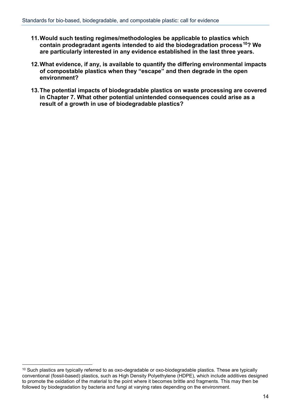- **11.Would such testing regimes/methodologies be applicable to plastics which contain prodegradant agents intended to aid the biodegradation process[10](#page-13-0)? We are particularly interested in any evidence established in the last three years.**
- **12.What evidence, if any, is available to quantify the differing environmental impacts of compostable plastics when they "escape" and then degrade in the open environment?**
- **13.The potential impacts of biodegradable plastics on waste processing are covered in Chapter 7. What other potential unintended consequences could arise as a result of a growth in use of biodegradable plastics?**

<span id="page-13-0"></span><sup>&</sup>lt;sup>10</sup> Such plastics are typically referred to as oxo-degradable or oxo-biodegradable plastics. These are typically conventional (fossil-based) plastics, such as High Density Polyethylene (HDPE), which include additives designed to promote the oxidation of the material to the point where it becomes brittle and fragments. This may then be followed by biodegradation by bacteria and fungi at varying rates depending on the environment.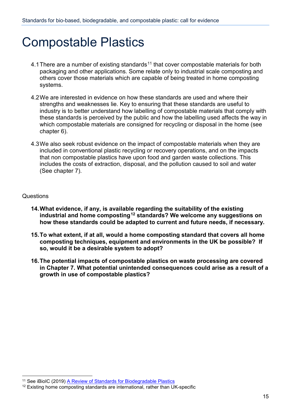### <span id="page-14-0"></span>Compostable Plastics

- 4.1 There are a number of existing standards<sup>[11](#page-14-1)</sup> that cover compostable materials for both packaging and other applications. Some relate only to industrial scale composting and others cover those materials which are capable of being treated in home composting systems.
- 4.2We are interested in evidence on how these standards are used and where their strengths and weaknesses lie. Key to ensuring that these standards are useful to industry is to better understand how labelling of compostable materials that comply with these standards is perceived by the public and how the labelling used affects the way in which compostable materials are consigned for recycling or disposal in the home (see chapter 6).
- 4.3We also seek robust evidence on the impact of compostable materials when they are included in conventional plastic recycling or recovery operations, and on the impacts that non compostable plastics have upon food and garden waste collections. This includes the costs of extraction, disposal, and the pollution caused to soil and water (See chapter 7).

- **14.What evidence, if any, is available regarding the suitability of the existing industrial and home composting[12](#page-14-2) standards? We welcome any suggestions on how these standards could be adapted to current and future needs, if necessary.**
- **15.To what extent, if at all, would a home composting standard that covers all home composting techniques, equipment and environments in the UK be possible? If so, would it be a desirable system to adopt?**
- **16.The potential impacts of compostable plastics on waste processing are covered in Chapter 7. What potential unintended consequences could arise as a result of a growth in use of compostable plastics?**

<span id="page-14-1"></span><sup>&</sup>lt;sup>11</sup> See iBioIC (2019) [A Review of Standards for Biodegradable Plastics](https://www.gov.uk/government/consultations/standards-for-biodegradable-compostable-and-bio-based-plastics-call-for-evidence)

<span id="page-14-2"></span> $12$  Existing home composting standards are international, rather than UK-specific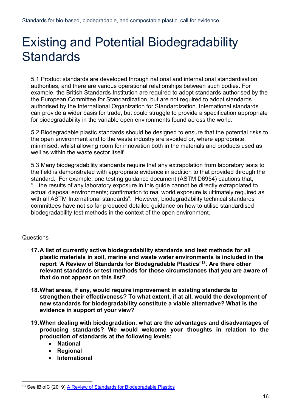## <span id="page-15-0"></span>Existing and Potential Biodegradability **Standards**

5.1 Product standards are developed through national and international standardisation authorities, and there are various operational relationships between such bodies. For example, the British Standards Institution are required to adopt standards authorised by the the European Committee for Standardization, but are not required to adopt standards authorised by the International Organization for Standardization. International standards can provide a wider basis for trade, but could struggle to provide a specification appropriate for biodegradability in the variable open environments found across the world.

5.2 Biodegradable plastic standards should be designed to ensure that the potential risks to the open environment and to the waste industry are avoided or, where appropriate, minimised, whilst allowing room for innovation both in the materials and products used as well as within the waste sector itself.

5.3 Many biodegradability standards require that any extrapolation from laboratory tests to the field is demonstrated with appropriate evidence in addition to that provided through the standard. For example, one testing guidance document (ASTM D6954) cautions that, "…the results of any laboratory exposure in this guide cannot be directly extrapolated to actual disposal environments; confirmation to real world exposure is ultimately required as with all ASTM International standards". However, biodegradability technical standards committees have not so far produced detailed guidance on how to utilise standardised biodegradability test methods in the context of the open environment.

- **17.A list of currently active biodegradability standards and test methods for all plastic materials in soil, marine and waste water environments is included in the report 'A Review of Standards for Biodegradable Plastics'[13.](#page-15-1) Are there other relevant standards or test methods for those circumstances that you are aware of that do not appear on this list?**
- **18.What areas, if any, would require improvement in existing standards to strengthen their effectiveness? To what extent, if at all, would the development of new standards for biodegradability constitute a viable alternative? What is the evidence in support of your view?**
- **19.When dealing with biodegradation, what are the advantages and disadvantages of producing standards? We would welcome your thoughts in relation to the production of standards at the following levels:**
	- **National**
	- **Regional**
	- **International**

<span id="page-15-1"></span><sup>&</sup>lt;sup>13</sup> See iBioIC (2019) [A Review of Standards for Biodegradable Plastics](https://www.gov.uk/government/consultations/standards-for-biodegradable-compostable-and-bio-based-plastics-call-for-evidence)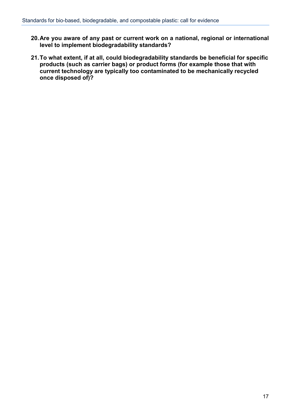- **20.Are you aware of any past or current work on a national, regional or international level to implement biodegradability standards?**
- **21.To what extent, if at all, could biodegradability standards be beneficial for specific products (such as carrier bags) or product forms (for example those that with current technology are typically too contaminated to be mechanically recycled once disposed of)?**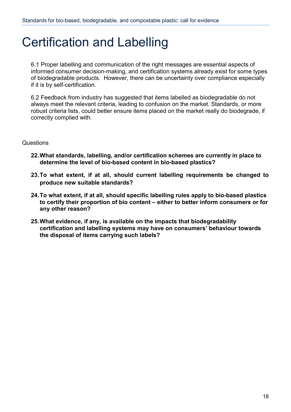## <span id="page-17-0"></span>Certification and Labelling

6.1 Proper labelling and communication of the right messages are essential aspects of informed consumer decision-making, and certification systems already exist for some types of biodegradable products. However, there can be uncertainty over compliance especially if it is by self-certification.

6.2 Feedback from industry has suggested that items labelled as biodegradable do not always meet the relevant criteria, leading to confusion on the market. Standards, or more robust criteria lists, could better ensure items placed on the market really do biodegrade, if correctly complied with.

- **22.What standards, labelling, and/or certification schemes are currently in place to determine the level of bio-based content in bio-based plastics?**
- **23.To what extent, if at all, should current labelling requirements be changed to produce new suitable standards?**
- **24.To what extent, if at all, should specific labelling rules apply to bio-based plastics to certify their proportion of bio content – either to better inform consumers or for any other reason?**
- **25.What evidence, if any, is available on the impacts that biodegradability certification and labelling systems may have on consumers' behaviour towards the disposal of items carrying such labels?**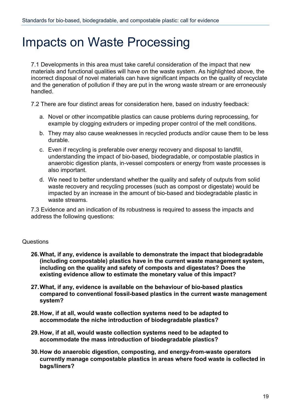### <span id="page-18-0"></span>Impacts on Waste Processing

7.1 Developments in this area must take careful consideration of the impact that new materials and functional qualities will have on the waste system. As highlighted above, the incorrect disposal of novel materials can have significant impacts on the quality of recyclate and the generation of pollution if they are put in the wrong waste stream or are erroneously handled.

7.2 There are four distinct areas for consideration here, based on industry feedback:

- a. Novel or other incompatible plastics can cause problems during reprocessing, for example by clogging extruders or impeding proper control of the melt conditions.
- b. They may also cause weaknesses in recycled products and/or cause them to be less durable.
- c. Even if recycling is preferable over energy recovery and disposal to landfill, understanding the impact of bio-based, biodegradable, or compostable plastics in anaerobic digestion plants, in-vessel composters or energy from waste processes is also important.
- d. We need to better understand whether the quality and safety of outputs from solid waste recovery and recycling processes (such as compost or digestate) would be impacted by an increase in the amount of bio-based and biodegradable plastic in waste streams.

7.3 Evidence and an indication of its robustness is required to assess the impacts and address the following questions:

- **26.What, if any, evidence is available to demonstrate the impact that biodegradable (including compostable) plastics have in the current waste management system, including on the quality and safety of composts and digestates? Does the existing evidence allow to estimate the monetary value of this impact?**
- **27.What, if any, evidence is available on the behaviour of bio-based plastics compared to conventional fossil-based plastics in the current waste management system?**
- **28.How, if at all, would waste collection systems need to be adapted to accommodate the niche introduction of biodegradable plastics?**
- **29.How, if at all, would waste collection systems need to be adapted to accommodate the mass introduction of biodegradable plastics?**
- **30.How do anaerobic digestion, composting, and energy-from-waste operators currently manage compostable plastics in areas where food waste is collected in bags/liners?**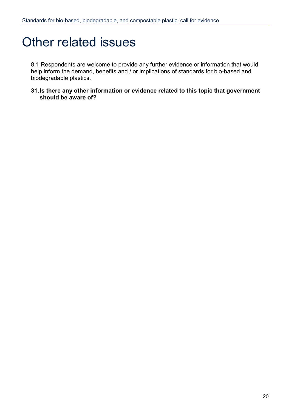### <span id="page-19-0"></span>Other related issues

8.1 Respondents are welcome to provide any further evidence or information that would help inform the demand, benefits and / or implications of standards for bio-based and biodegradable plastics.

**31.Is there any other information or evidence related to this topic that government should be aware of?**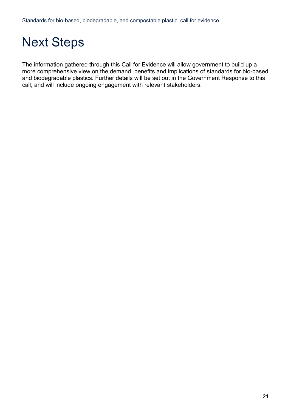## <span id="page-20-0"></span>Next Steps

The information gathered through this Call for Evidence will allow government to build up a more comprehensive view on the demand, benefits and implications of standards for bio-based and biodegradable plastics. Further details will be set out in the Government Response to this call, and will include ongoing engagement with relevant stakeholders.